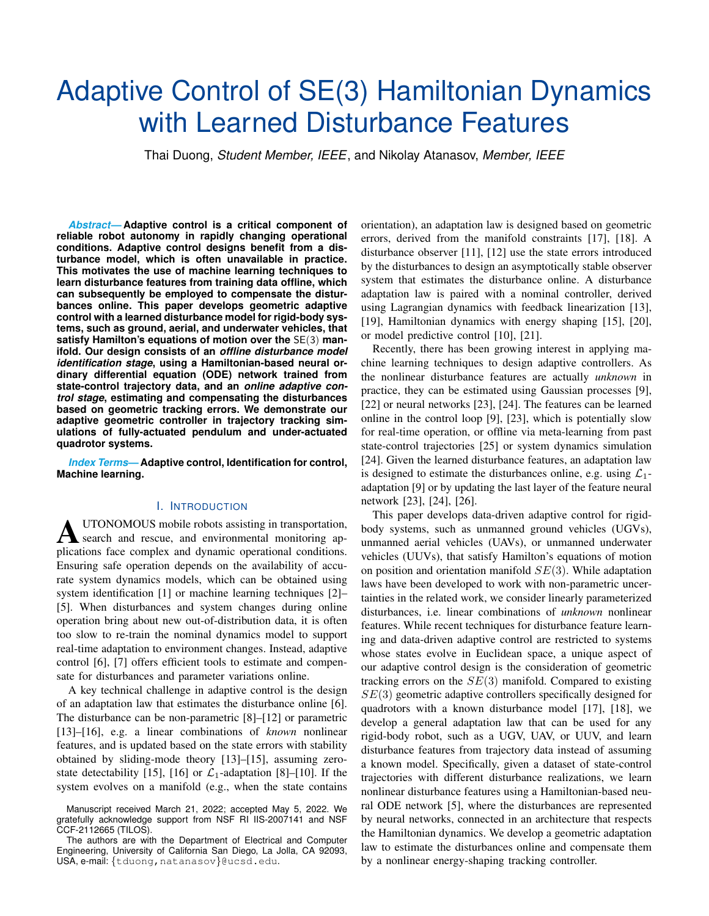# **Adaptive Control of SE(3) Hamiltonian Dynamics** with Learned Disturbance Features

Thai Duong, Student Member, IEEE, and Nikolay Atanasov, Member, IEEE

**Abstract-Adaptive control is a critical component of** reliable robot autonomy in rapidly changing operational conditions. Adaptive control designs benefit from a disturbance model, which is often unavailable in practice. This motivates the use of machine learning techniques to learn disturbance features from training data offline, which can subsequently be employed to compensate the disturbances online. This paper develops geometric adaptive control with a learned disturbance model for rigid-body systems, such as ground, aerial, and underwater vehicles, that satisfy Hamilton's equations of motion over the  $SE(3)$  manifold. Our design consists of an offline disturbance model identification stage, using a Hamiltonian-based neural ordinary differential equation (ODE) network trained from state-control trajectory data, and an online adaptive control stage, estimating and compensating the disturbances based on geometric tracking errors. We demonstrate our adaptive geometric controller in trajectory tracking simulations of fully-actuated pendulum and under-actuated quadrotor systems.

**Index Terms-Adaptive control, Identification for control, Machine learning.** 

## **I. INTRODUCTION**

UTONOMOUS mobile robots assisting in transportation, search and rescue, and environmental monitoring applications face complex and dynamic operational conditions. Ensuring safe operation depends on the availability of accurate system dynamics models, which can be obtained using system identification [1] or machine learning techniques [2]-[5]. When disturbances and system changes during online operation bring about new out-of-distribution data, it is often too slow to re-train the nominal dynamics model to support real-time adaptation to environment changes. Instead, adaptive control [6], [7] offers efficient tools to estimate and compensate for disturbances and parameter variations online.

A key technical challenge in adaptive control is the design of an adaptation law that estimates the disturbance online [6]. The disturbance can be non-parametric  $[8]-[12]$  or parametric  $[13]$ – $[16]$ , e.g. a linear combinations of *known* nonlinear features, and is updated based on the state errors with stability obtained by sliding-mode theory  $[13]$ – $[15]$ , assuming zerostate detectability [15], [16] or  $\mathcal{L}_1$ -adaptation [8]–[10]. If the system evolves on a manifold (e.g., when the state contains orientation), an adaptation law is designed based on geometric errors, derived from the manifold constraints [17], [18]. A disturbance observer  $[11]$ ,  $[12]$  use the state errors introduced by the disturbances to design an asymptotically stable observer system that estimates the disturbance online. A disturbance adaptation law is paired with a nominal controller, derived using Lagrangian dynamics with feedback linearization [13], [19], Hamiltonian dynamics with energy shaping [15], [20], or model predictive control [10], [21].

Recently, there has been growing interest in applying machine learning techniques to design adaptive controllers. As the nonlinear disturbance features are actually *unknown* in practice, they can be estimated using Gaussian processes [9], [22] or neural networks [23], [24]. The features can be learned online in the control loop  $[9]$ ,  $[23]$ , which is potentially slow for real-time operation, or offline via meta-learning from past state-control trajectories [25] or system dynamics simulation [24]. Given the learned disturbance features, an adaptation law is designed to estimate the disturbances online, e.g. using  $\mathcal{L}_1$ adaptation [9] or by updating the last layer of the feature neural network [23], [24], [26].

This paper develops data-driven adaptive control for rigidbody systems, such as unmanned ground vehicles (UGVs), unmanned aerial vehicles (UAVs), or unmanned underwater vehicles (UUVs), that satisfy Hamilton's equations of motion on position and orientation manifold  $SE(3)$ . While adaptation laws have been developed to work with non-parametric uncertainties in the related work, we consider linearly parameterized disturbances, i.e. linear combinations of *unknown* nonlinear features. While recent techniques for disturbance feature learning and data-driven adaptive control are restricted to systems whose states evolve in Euclidean space, a unique aspect of our adaptive control design is the consideration of geometric tracking errors on the  $SE(3)$  manifold. Compared to existing  $SE(3)$  geometric adaptive controllers specifically designed for quadrotors with a known disturbance model [17], [18], we develop a general adaptation law that can be used for any rigid-body robot, such as a UGV, UAV, or UUV, and learn disturbance features from trajectory data instead of assuming a known model. Specifically, given a dataset of state-control trajectories with different disturbance realizations, we learn nonlinear disturbance features using a Hamiltonian-based neural ODE network [5], where the disturbances are represented by neural networks, connected in an architecture that respects the Hamiltonian dynamics. We develop a geometric adaptation law to estimate the disturbances online and compensate them by a nonlinear energy-shaping tracking controller.

Manuscript received March 21, 2022; accepted May 5, 2022. We gratefully acknowledge support from NSF RI IIS-2007141 and NSF CCF-2112665 (TILOS).

The authors are with the Department of Electrical and Computer Engineering, University of California San Diego, La Jolla, CA 92093, USA, e-mail: {tduong, natanasov}@ucsd.edu.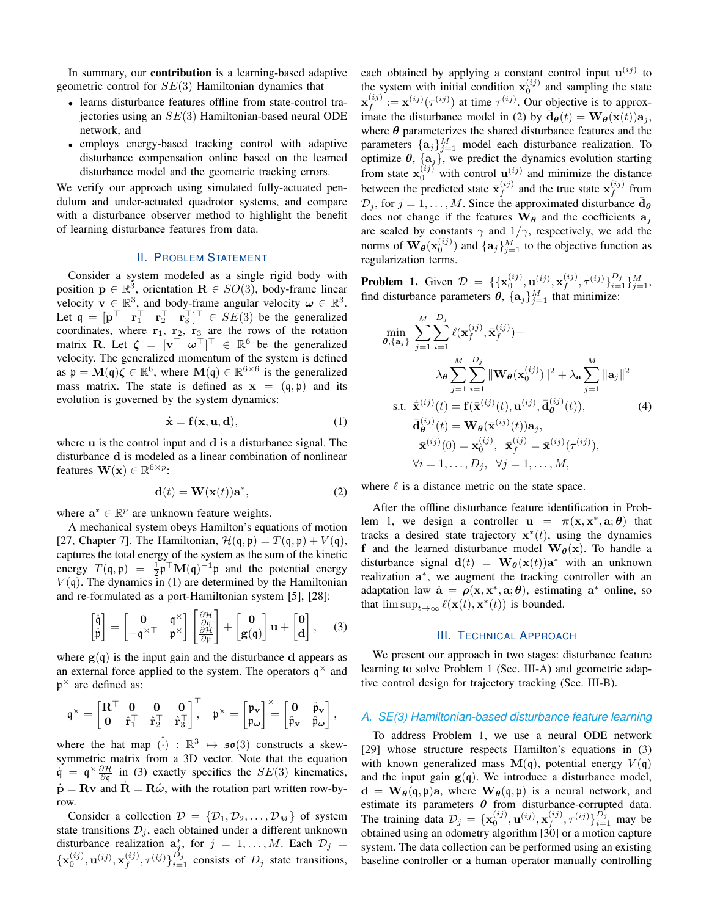In summary, our **contribution** is a learning-based adaptive geometric control for  $SE(3)$  Hamiltonian dynamics that

- learns disturbance features offline from state-control trajectories using an  $SE(3)$  Hamiltonian-based neural ODE network, and
- employs energy-based tracking control with adaptive disturbance compensation online based on the learned disturbance model and the geometric tracking errors.

We verify our approach using simulated fully-actuated pendulum and under-actuated quadrotor systems, and compare with a disturbance observer method to highlight the benefit of learning disturbance features from data.

## **II. PROBLEM STATEMENT**

Consider a system modeled as a single rigid body with position  $\mathbf{p} \in \mathbb{R}^3$ , orientation  $\mathbf{R} \in SO(3)$ , body-frame linear velocity  $\mathbf{v} \in \mathbb{R}^3$ , and body-frame angular velocity  $\boldsymbol{\omega} \in \mathbb{R}^3$ .<br>Let  $\mathbf{q} = [\mathbf{p}^\top \ \mathbf{r}_1^\top \ \mathbf{r}_2^\top \ \mathbf{r}_3^\top]^\top \in SE(3)$  be the generalized coordinates, where  $r_1$ ,  $r_2$ ,  $r_3$  are the rows of the rotation matrix **R**. Let  $\zeta = [\mathbf{v}^\top \ \omega^\top]^\top \in \mathbb{R}^6$  be the generalized velocity. The generalized momentum of the system is defined as  $\mathfrak{p} = \mathbf{M}(\mathfrak{q})\zeta \in \mathbb{R}^6$ , where  $\mathbf{M}(\mathfrak{q}) \in \mathbb{R}^{6 \times 6}$  is the generalized mass matrix. The state is defined as  $x = (q, p)$  and its evolution is governed by the system dynamics:

$$
\dot{\mathbf{x}} = \mathbf{f}(\mathbf{x}, \mathbf{u}, \mathbf{d}),\tag{1}
$$

where u is the control input and d is a disturbance signal. The disturbance d is modeled as a linear combination of nonlinear features  $\mathbf{W}(\mathbf{x}) \in \mathbb{R}^{6 \times p}$ :

$$
\mathbf{d}(t) = \mathbf{W}(\mathbf{x}(t))\mathbf{a}^*,\tag{2}
$$

where  $\mathbf{a}^* \in \mathbb{R}^p$  are unknown feature weights.

A mechanical system obeys Hamilton's equations of motion [27, Chapter 7]. The Hamiltonian,  $\mathcal{H}(\mathfrak{q}, \mathfrak{p}) = T(\mathfrak{q}, \mathfrak{p}) + V(\mathfrak{q})$ , captures the total energy of the system as the sum of the kinetic energy  $T(\mathfrak{q}, \mathfrak{p}) = \frac{1}{2} \mathfrak{p}^\top \mathbf{M}(\mathfrak{q})^{-1} \mathfrak{p}$  and the potential energy  $V(q)$ . The dynamics in (1) are determined by the Hamiltonian and re-formulated as a port-Hamiltonian system [5], [28]:

$$
\begin{bmatrix} \dot{\mathfrak{q}} \\ \dot{\mathfrak{p}} \end{bmatrix} = \begin{bmatrix} 0 & \mathfrak{q}^{\times} \\ -\mathfrak{q}^{\times \top} & \mathfrak{p}^{\times} \end{bmatrix} \begin{bmatrix} \frac{\partial \mathcal{H}}{\partial \mathfrak{q}} \\ \frac{\partial \mathcal{H}}{\partial \mathfrak{p}} \end{bmatrix} + \begin{bmatrix} 0 \\ g(\mathfrak{q}) \end{bmatrix} \mathbf{u} + \begin{bmatrix} 0 \\ d \end{bmatrix}, \quad (3)
$$

where  $g(q)$  is the input gain and the disturbance d appears as an external force applied to the system. The operators  $q^{\times}$  and  $\mathfrak{p}^{\times}$  are defined as:

$$
\mathfrak{q}^\times = \begin{bmatrix} \mathbf{R}^\top & \mathbf{0} & \mathbf{0} & \mathbf{0} \\ \mathbf{0} & \hat{\mathbf{r}}_1^\top & \hat{\mathbf{r}}_2^\top & \hat{\mathbf{r}}_3^\top \end{bmatrix}, \quad \mathfrak{p}^\times = \begin{bmatrix} \mathfrak{p}_\mathbf{v} \\ \mathfrak{p}_\omega \end{bmatrix}^\times = \begin{bmatrix} \mathbf{0} & \hat{\mathfrak{p}}_\mathbf{v} \\ \hat{\mathfrak{p}}_\mathbf{v} & \hat{\mathfrak{p}}_\omega \end{bmatrix},
$$

where the hat map  $\hat{()}$  :  $\mathbb{R}^3 \mapsto \mathfrak{so}(3)$  constructs a skewsymmetric matrix from a 3D vector. Note that the equation  $\dot{\mathfrak{q}} = \mathfrak{q}^{\times} \frac{\partial \mathcal{H}}{\partial \mathfrak{q}}$  in (3) exactly specifies the  $SE(3)$  kinematics,  $\dot{\mathbf{p}} = \mathbf{R} \mathbf{v}$  and  $\dot{\mathbf{R}} = \mathbf{R} \hat{\boldsymbol{\omega}}$ , with the rotation part written row-byrow.

Consider a collection  $\mathcal{D} = \{\mathcal{D}_1, \mathcal{D}_2, \dots, \mathcal{D}_M\}$  of system state transitions  $\mathcal{D}_j$ , each obtained under a different unknown disturbance realization  $\mathbf{a}_j^*$ , for  $j = 1, ..., M$ . Each  $\mathcal{D}_j = {\mathbf{x}_0^{(ij)}, \mathbf{u}^{(ij)}, \mathbf{x}_f^{(ij)}, \tau^{(ij)}\}_{i=1}^{D_j}$  consists of  $D_j$  state transitions,

each obtained by applying a constant control input  $\mathbf{u}^{(ij)}$  to the system with initial condition  $x_0^{(ij)}$  and sampling the state  $\mathbf{x}_{f}^{(ij)} := \mathbf{x}^{(ij)}(\tau^{(ij)})$  at time  $\tau^{(ij)}$ . Our objective is to approximate the disturbance model in (2) by  $\mathbf{d}_{\theta}(t) = \mathbf{W}_{\theta}(\mathbf{x}(t))\mathbf{a}_i$ , where  $\theta$  parameterizes the shared disturbance features and the parameters  $\{\mathbf a_j\}_{j=1}^M$  model each disturbance realization. To optimize  $\theta$ ,  $\{a_j\}$ , we predict the dynamics evolution starting from state  $\mathbf{x}_0^{(ij)}$  with control  $\mathbf{u}^{(ij)}$  and minimize the distance<br>between the predicted state  $\bar{\mathbf{x}}_f^{(ij)}$  and the true state  $\mathbf{x}_f^{(ij)}$  from  $\mathcal{D}_j$ , for  $j = 1, \ldots, M$ . Since the approximated disturbance  $\bar{\mathbf{d}}_{\theta}$ does not change if the features  $\mathbf{W}_{\theta}$  and the coefficients  $\mathbf{a}_i$ are scaled by constants  $\gamma$  and  $1/\gamma$ , respectively, we add the norms of  $\mathbf{W}_{\theta}(\mathbf{x}_{0}^{(ij)})$  and  $\{\mathbf{a}_{j}\}_{j=1}^{M}$  to the objective function as regularization terms.

**Problem 1.** Given  $\mathcal{D} = \{ \{\mathbf{x}_0^{(ij)}, \mathbf{u}^{(ij)}, \mathbf{x}_f^{(ij)}, \tau^{(ij)} \}_{i=1}^D \}_{j=1}^M$ , find disturbance parameters  $\theta$ ,  $\{\mathbf{a}_j\}_{j=1}^M$  that minimize:

$$
\min_{\boldsymbol{\theta}, \{\mathbf{a}_j\}} \sum_{j=1}^{M} \sum_{i=1}^{D_j} \ell(\mathbf{x}_f^{(ij)}, \bar{\mathbf{x}}_f^{(ij)}) +
$$
\n
$$
\lambda_{\boldsymbol{\theta}} \sum_{j=1}^{M} \sum_{i=1}^{D_j} \|\mathbf{W}_{\boldsymbol{\theta}}(\mathbf{x}_0^{(ij)})\|^2 + \lambda_{\mathbf{a}} \sum_{j=1}^{M} \|\mathbf{a}_j\|^2
$$
\n
$$
\text{s.t. } \dot{\mathbf{x}}^{(ij)}(t) = \mathbf{f}(\bar{\mathbf{x}}^{(ij)}(t), \mathbf{u}^{(ij)}, \bar{\mathbf{d}}_{\boldsymbol{\theta}}^{(ij)}(t)),
$$
\n
$$
\bar{\mathbf{d}}_{\boldsymbol{\theta}}^{(ij)}(t) = \mathbf{W}_{\boldsymbol{\theta}}(\bar{\mathbf{x}}^{(ij)}(t)) \mathbf{a}_j,
$$
\n
$$
\bar{\mathbf{x}}^{(ij)}(0) = \mathbf{x}_0^{(ij)}, \ \bar{\mathbf{x}}_f^{(ij)} = \bar{\mathbf{x}}^{(ij)}(\tau^{(ij)}),
$$
\n
$$
\forall i = 1, \dots, D_j, \ \forall j = 1, \dots, M,
$$

where  $\ell$  is a distance metric on the state space.

After the offline disturbance feature identification in Problem 1, we design a controller  $\mathbf{u} = \pi(\mathbf{x}, \mathbf{x}^*, \mathbf{a}; \theta)$  that tracks a desired state trajectory  $x^*(t)$ , using the dynamics f and the learned disturbance model  $\mathbf{W}_{\theta}(\mathbf{x})$ . To handle a disturbance signal  $\mathbf{d}(t) = \mathbf{W}_{\theta}(\mathbf{x}(t))\mathbf{a}^*$  with an unknown realization  $a^*$ , we augment the tracking controller with an adaptation law  $\dot{\mathbf{a}} = \rho(\mathbf{x}, \mathbf{x}^*, \mathbf{a}; \theta)$ , estimating  $\mathbf{a}^*$  online, so that  $\limsup_{t\to\infty} \ell(\mathbf{x}(t), \mathbf{x}^*(t))$  is bounded.

#### **III. TECHNICAL APPROACH**

We present our approach in two stages: disturbance feature learning to solve Problem 1 (Sec. III-A) and geometric adaptive control design for trajectory tracking (Sec. III-B).

#### A. SE(3) Hamiltonian-based disturbance feature learning

To address Problem 1, we use a neural ODE network [29] whose structure respects Hamilton's equations in (3) with known generalized mass  $\mathbf{M}(\mathbf{q})$ , potential energy  $V(\mathbf{q})$ and the input gain  $g(q)$ . We introduce a disturbance model,  $\mathbf{d} = \mathbf{W}_{\theta}(\mathbf{\mathfrak{q}}, \mathbf{\mathfrak{p}})$ a, where  $\mathbf{W}_{\theta}(\mathbf{\mathfrak{q}}, \mathbf{\mathfrak{p}})$  is a neural network, and estimate its parameters  $\theta$  from disturbance-corrupted data. The training data  $\mathcal{D}_j = {\mathbf{x}_{0}^{(ij)}, \mathbf{u}^{(ij)}, \mathbf{x}_{f}^{(ij)}, \tau^{(ij)}\}_{i=1}^{D_j}$  may be obtained using an odometry algorithm [30] or a motion capture system. The data collection can be performed using an existing baseline controller or a human operator manually controlling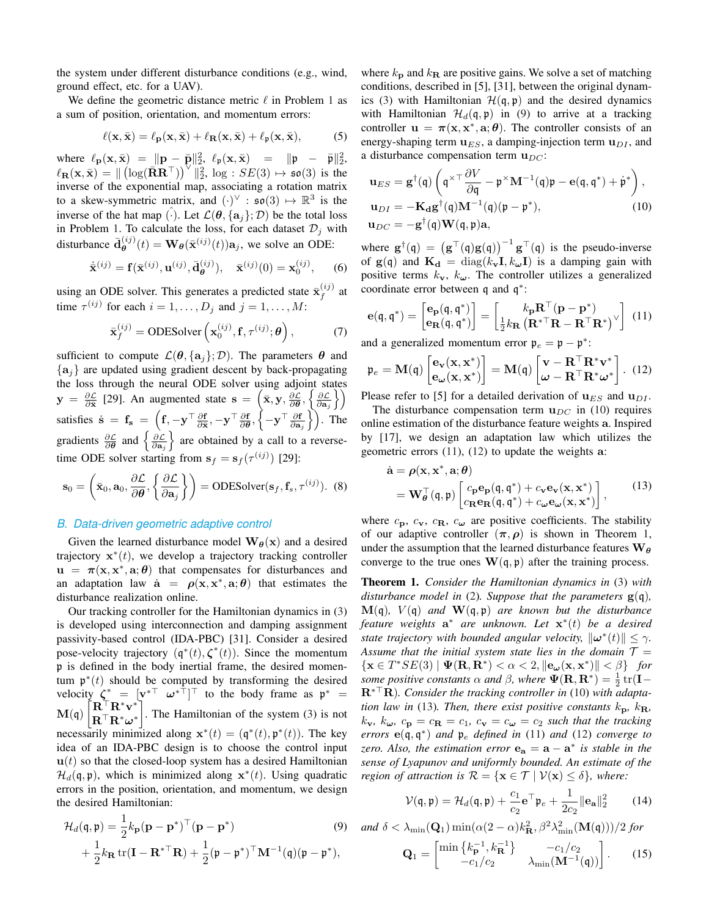the system under different disturbance conditions (e.g., wind, ground effect, etc. for a UAV).

We define the geometric distance metric  $\ell$  in Problem 1 as a sum of position, orientation, and momentum errors:

$$
\ell(\mathbf{x}, \bar{\mathbf{x}}) = \ell_{\mathbf{p}}(\mathbf{x}, \bar{\mathbf{x}}) + \ell_{\mathbf{R}}(\mathbf{x}, \bar{\mathbf{x}}) + \ell_{\mathfrak{p}}(\mathbf{x}, \bar{\mathbf{x}}),
$$
 (5)

where  $\ell_{\bf p}({\bf x}, \bar{\bf x}) = ||{\bf p} - \bar{\bf p}||_2^2$ ,  $\ell_{\bf p}({\bf x}, \bar{\bf x}) = ||{\bf p} - \bar{\bf p}||_2^2$ ,  $\ell_{\mathbf{R}}(\mathbf{x},\bar{\mathbf{x}}) = ||(\log(\bar{\mathbf{R}}\mathbf{R}^{\top}))^{\vee}||_2^2$ ,  $\log : SE(3) \mapsto \mathfrak{so}(3)$  is the inverse of the exponential map, associating a rotation matrix to a skew-symmetric matrix, and  $(\cdot)^{\vee}$  :  $\mathfrak{so}(3) \mapsto \mathbb{R}^3$  is the inverse of the hat map (.). Let  $\mathcal{L}(\theta, \{a_i\}; \mathcal{D})$  be the total loss in Problem 1. To calculate the loss, for each dataset  $\mathcal{D}_i$  with disturbance  $\bar{\mathbf{d}}_{\theta}^{(ij)}(t) = \mathbf{W}_{\theta}(\bar{\mathbf{x}}^{(ij)}(t))\mathbf{a}_j$ , we solve an ODE:

$$
\dot{\bar{\mathbf{x}}}^{(ij)} = \mathbf{f}(\bar{\mathbf{x}}^{(ij)}, \mathbf{u}^{(ij)}, \bar{\mathbf{d}}_{\theta}^{(ij)}), \quad \bar{\mathbf{x}}^{(ij)}(0) = \mathbf{x}_0^{(ij)}, \quad (6)
$$

using an ODE solver. This generates a predicted state  $\bar{\mathbf{x}}_f^{(ij)}$  at time  $\tau^{(ij)}$  for each  $i = 1, ..., D_j$  and  $j = 1, ..., M$ :

$$
\bar{\mathbf{x}}_f^{(ij)} = \text{ODESolver}\left(\mathbf{x}_0^{(ij)}, \mathbf{f}, \tau^{(ij)}; \boldsymbol{\theta}\right),\tag{7}
$$

sufficient to compute  $\mathcal{L}(\theta, \{a_i\}; \mathcal{D})$ . The parameters  $\theta$  and  $\{a_i\}$  are updated using gradient descent by back-propagating the loss through the neural ODE solver using adjoint states  $y = \frac{\partial \mathcal{L}}{\partial \overline{x}}$  [29]. An augmented state  $s = (\overline{x}, y, \frac{\partial \mathcal{L}}{\partial \theta}, \left\{\frac{\partial \mathcal{L}}{\partial a_j}\right\})$ <br>satisfies  $\dot{s} = f_s = (f, -y^\top \frac{\partial f}{\partial \overline{x}}, -y^\top \frac{\partial f}{\partial \theta}, \left\{-y^\top \frac{\partial f}{\partial a_j}\right\})$ . The gradients  $\frac{\partial \mathcal{L}}{\partial \theta}$  and  $\left\{\frac{\partial \mathcal{$ time ODE solver starting from  $s_f = s_f(\tau^{(ij)})$  [29]:

$$
\mathbf{s}_0 = \left(\bar{\mathbf{x}}_0, \mathbf{a}_0, \frac{\partial \mathcal{L}}{\partial \theta}, \left\{\frac{\partial \mathcal{L}}{\partial \mathbf{a}_j}\right\}\right) = \text{ODESolver}(\mathbf{s}_f, \mathbf{f}_s, \tau^{(ij)}). \tag{8}
$$

# B. Data-driven geometric adaptive control

Given the learned disturbance model  $\mathbf{W}_{\theta}(\mathbf{x})$  and a desired trajectory  $\mathbf{x}^*(t)$ , we develop a trajectory tracking controller  $\mathbf{u} = \pi(\mathbf{x}, \mathbf{x}^*, \mathbf{a}; \theta)$  that compensates for disturbances and an adaptation law  $\dot{a} = \rho(x, x^*, a; \theta)$  that estimates the disturbance realization online.

Our tracking controller for the Hamiltonian dynamics in (3) is developed using interconnection and damping assignment passivity-based control (IDA-PBC) [31]. Consider a desired pose-velocity trajectory  $(q^*(t), \zeta^*(t))$ . Since the momentum p is defined in the body inertial frame, the desired momentum  $\mathfrak{p}^*(t)$  should be computed by transforming the desired velocity  $\zeta^* = [\mathbf{v}^{*\top} \ \omega^{*\top}]^{\top}$  to the body frame as  $\mathbf{p}^* = \mathbf{M}(\mathbf{q}) \begin{bmatrix} \mathbf{R}^{\top} \mathbf{R}^* \mathbf{v}^* \\ \mathbf{R}^{\top} \mathbf{R}^* \omega^* \end{bmatrix}$ . The Hamiltonian of the system (3) is not necessarily minimized along  $\mathbf{x}^*(t) = (\mathbf{q}^*(t), \mathbf{p}^*(t))$ . The key idea of an IDA-PBC design is to choose the control input  $\mathbf{u}(t)$  so that the closed-loop system has a desired Hamiltonian  $\mathcal{H}_d(\mathfrak{q}, \mathfrak{p})$ , which is minimized along  $\mathbf{x}^*(t)$ . Using quadratic errors in the position, orientation, and momentum, we design the desired Hamiltonian:

$$
\mathcal{H}_d(\mathbf{\mathfrak{q}}, \mathbf{\mathfrak{p}}) = \frac{1}{2} k_\mathbf{p} (\mathbf{p} - \mathbf{p}^*)^\top (\mathbf{p} - \mathbf{p}^*)
$$
(9)  
 
$$
+ \frac{1}{2} k_\mathbf{R} \operatorname{tr}(\mathbf{I} - \mathbf{R}^{* \top} \mathbf{R}) + \frac{1}{2} (\mathbf{\mathfrak{p}} - \mathbf{\mathfrak{p}}^*)^\top \mathbf{M}^{-1} (\mathbf{\mathfrak{q}}) (\mathbf{\mathfrak{p}} - \mathbf{\mathfrak{p}}^*),
$$

where  $k_{\rm p}$  and  $k_{\rm R}$  are positive gains. We solve a set of matching conditions, described in [5], [31], between the original dynamics (3) with Hamiltonian  $\mathcal{H}(\mathfrak{q}, \mathfrak{p})$  and the desired dynamics with Hamiltonian  $\mathcal{H}_d(\mathfrak{q}, \mathfrak{p})$  in (9) to arrive at a tracking controller  $\mathbf{u} = \pi(\mathbf{x}, \mathbf{x}^*, \mathbf{a}; \theta)$ . The controller consists of an energy-shaping term  $\mathbf{u}_{ES}$ , a damping-injection term  $\mathbf{u}_{DI}$ , and a disturbance compensation term  $\mathbf{u}_{DC}$ :

$$
\mathbf{u}_{ES} = \mathbf{g}^{\dagger}(\mathbf{\mathfrak{q}}) \left( \mathbf{\mathfrak{q}}^{\times \top} \frac{\partial V}{\partial \mathbf{\mathfrak{q}}} - \mathbf{\mathfrak{p}}^{\times} \mathbf{M}^{-1}(\mathbf{\mathfrak{q}}) \mathbf{\mathfrak{p}} - \mathbf{e}(\mathbf{\mathfrak{q}}, \mathbf{\mathfrak{q}}^{*}) + \dot{\mathbf{\mathfrak{p}}}^{*} \right),
$$
  
\n
$$
\mathbf{u}_{DI} = -\mathbf{K}_{\mathbf{d}} \mathbf{g}^{\dagger}(\mathbf{\mathfrak{q}}) \mathbf{M}^{-1}(\mathbf{\mathfrak{q}}) (\mathbf{\mathfrak{p}} - \mathbf{\mathfrak{p}}^{*}),
$$
  
\n
$$
\mathbf{u}_{DC} = -\mathbf{g}^{\dagger}(\mathbf{\mathfrak{q}}) \mathbf{W}(\mathbf{\mathfrak{q}}, \mathbf{\mathfrak{p}}) \mathbf{a},
$$
\n(10)

where  $\mathbf{g}^{\dagger}(\mathbf{\mathfrak{q}}) = (\mathbf{g}^{\top}(\mathbf{\mathfrak{q}})\mathbf{g}(\mathbf{\mathfrak{q}}))^{-1}\mathbf{g}^{\top}(\mathbf{\mathfrak{q}})$  is the pseudo-inverse of  $g(q)$  and  $K_d = diag(k_v, I, k_u, I)$  is a damping gain with positive terms  $k_v$ ,  $k_\omega$ . The controller utilizes a generalized coordinate error between q and  $q^*$ :

$$
\mathbf{e}(\mathbf{\mathfrak{q}}, \mathbf{\mathfrak{q}}^*) = \begin{bmatrix} \mathbf{e}_{\mathbf{p}}(\mathbf{\mathfrak{q}}, \mathbf{\mathfrak{q}}^*) \\ \mathbf{e}_{\mathbf{R}}(\mathbf{\mathfrak{q}}, \mathbf{\mathfrak{q}}^*) \end{bmatrix} = \begin{bmatrix} k_{\mathbf{p}} \mathbf{R}^{\top} (\mathbf{p} - \mathbf{p}^*) \\ \frac{1}{2} k_{\mathbf{R}} (\mathbf{R}^{* \top} \mathbf{R} - \mathbf{R}^{\top} \mathbf{R}^*)^{\vee} \end{bmatrix} (11)
$$

and a generalized momentum error  $\mathfrak{p}_e = \mathfrak{p} - \mathfrak{p}^*$ :

$$
\mathfrak{p}_e = \mathbf{M}(\mathfrak{q}) \begin{bmatrix} \mathbf{e}_{\mathbf{v}}(\mathbf{x}, \mathbf{x}^*) \\ \mathbf{e}_{\boldsymbol{\omega}}(\mathbf{x}, \mathbf{x}^*) \end{bmatrix} = \mathbf{M}(\mathfrak{q}) \begin{bmatrix} \mathbf{v} - \mathbf{R}^\top \mathbf{R}^* \mathbf{v}^* \\ \boldsymbol{\omega} - \mathbf{R}^\top \mathbf{R}^* \boldsymbol{\omega}^* \end{bmatrix}. (12)
$$

Please refer to [5] for a detailed derivation of  $\mathbf{u}_{ES}$  and  $\mathbf{u}_{DI}$ .

The disturbance compensation term  $\mathbf{u}_{DC}$  in (10) requires online estimation of the disturbance feature weights a. Inspired by [17], we design an adaptation law which utilizes the geometric errors  $(11)$ ,  $(12)$  to update the weights a:

$$
\dot{\mathbf{a}} = \rho(\mathbf{x}, \mathbf{x}^*, \mathbf{a}; \theta) \n= \mathbf{W}_{\theta}^{\top}(\mathbf{\mathfrak{q}}, \mathbf{\mathfrak{p}}) \begin{bmatrix} c_{\mathbf{p}} \mathbf{e}_{\mathbf{p}}(\mathbf{\mathfrak{q}}, \mathbf{\mathfrak{q}}^*) + c_{\mathbf{v}} \mathbf{e}_{\mathbf{v}}(\mathbf{x}, \mathbf{x}^*) \\ c_{\mathbf{R}} \mathbf{e}_{\mathbf{R}}(\mathbf{\mathfrak{q}}, \mathbf{\mathfrak{q}}^*) + c_{\omega} \mathbf{e}_{\omega}(\mathbf{x}, \mathbf{x}^*) \end{bmatrix},
$$
\n(13)

where  $c_p$ ,  $c_v$ ,  $c_R$ ,  $c_\omega$  are positive coefficients. The stability of our adaptive controller  $(\pi, \rho)$  is shown in Theorem 1, under the assumption that the learned disturbance features  $W_{\theta}$ converge to the true ones  $W(q, p)$  after the training process.

**Theorem 1.** Consider the Hamiltonian dynamics in (3) with disturbance model in (2). Suppose that the parameters  $g(q)$ ,  $\mathbf{M}(\mathfrak{q})$ ,  $V(\mathfrak{q})$  and  $\mathbf{W}(\mathfrak{q},\mathfrak{p})$  are known but the disturbance feature weights  $a^*$  are unknown. Let  $x^*(t)$  be a desired state trajectory with bounded angular velocity,  $\|\boldsymbol{\omega}^*(t)\| < \gamma$ . Assume that the initial system state lies in the domain  $T =$  $\{x \in T^*SE(3) \mid \Psi(\mathbf{R}, \mathbf{R}^*) < \alpha < 2, \|\mathbf{e}_{\boldsymbol{\omega}}(x, x^*)\| < \beta\}$  for some positive constants  $\alpha$  and  $\beta$ , where  $\Psi(\mathbf{R},\mathbf{R}^*)=\frac{1}{2}\operatorname{tr}(\mathbf{I}-\mathbf{R}^*)$  $\mathbf{R}^*$ <sup>T</sup> $\mathbf{R}$ ). Consider the tracking controller in (10) with adaptation law in (13). Then, there exist positive constants  $k_{\rm D}$ ,  $k_{\rm R}$ ,  $k_{\mathbf{v}}, k_{\omega}, c_{\mathbf{p}} = c_{\mathbf{R}} = c_1, c_{\mathbf{v}} = c_{\omega} = c_2$  such that the tracking errors  $e(q, q^*)$  and  $p_e$  defined in (11) and (12) converge to zero. Also, the estimation error  $\mathbf{e}_a = \mathbf{a} - \mathbf{a}^*$  is stable in the sense of Lyapunov and uniformly bounded. An estimate of the region of attraction is  $\mathcal{R} = \{ \mathbf{x} \in \mathcal{T} \mid \mathcal{V}(\mathbf{x}) \leq \delta \}$ , where:

$$
\mathcal{V}(\mathbf{\mathfrak{q}}, \mathbf{\mathfrak{p}}) = \mathcal{H}_d(\mathbf{\mathfrak{q}}, \mathbf{\mathfrak{p}}) + \frac{c_1}{c_2} \mathbf{e}^\top \mathbf{\mathfrak{p}}_e + \frac{1}{2c_2} ||\mathbf{e_a}||_2^2 \qquad (14)
$$

and 
$$
\delta < \lambda_{\min}(\mathbf{Q}_1) \min(\alpha(2-\alpha)k_{\mathbf{R}}^2, \beta^2 \lambda_{\min}^2(\mathbf{M}(\mathfrak{q}))) / 2
$$
 for

$$
\mathbf{Q}_1 = \begin{bmatrix} \min\left\{k_\mathbf{p}^{-1}, k_\mathbf{R}^{-1}\right\} & -c_1/c_2 \\ -c_1/c_2 & \lambda_{\min}(\mathbf{M}^{-1}(\mathfrak{q})) \end{bmatrix} . \tag{15}
$$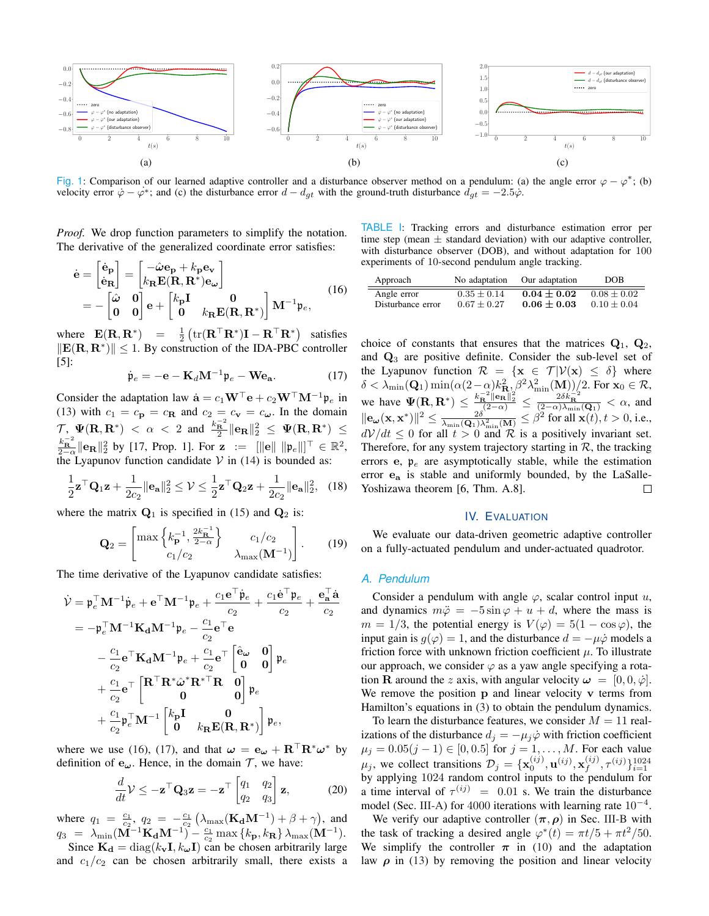

Fig. 1: Comparison of our learned adaptive controller and a disturbance observer method on a pendulum: (a) the angle error  $\varphi - \varphi^*$ ; (b) velocity error  $\dot{\varphi} - \varphi^*$ ; and (c) the disturbance error  $d - d_{gt}$  with the ground-truth disturbance  $d_{gt} = -2.5\dot{\varphi}$ .

*Proof.* We drop function parameters to simplify the notation. The derivative of the generalized coordinate error satisfies:

$$
\dot{\mathbf{e}} = \begin{bmatrix} \dot{\mathbf{e}}_{\mathbf{p}} \\ \dot{\mathbf{e}}_{\mathbf{R}} \end{bmatrix} = \begin{bmatrix} -\hat{\omega}\mathbf{e}_{\mathbf{p}} + k_{\mathbf{p}}\mathbf{e}_{\mathbf{v}} \\ k_{\mathbf{R}}\mathbf{E}(\mathbf{R}, \mathbf{R}^*)\mathbf{e}_{\omega} \end{bmatrix}
$$
  
= 
$$
- \begin{bmatrix} \hat{\omega} & 0 \\ 0 & 0 \end{bmatrix} \mathbf{e} + \begin{bmatrix} k_{\mathbf{p}}\mathbf{I} & 0 \\ 0 & k_{\mathbf{R}}\mathbf{E}(\mathbf{R}, \mathbf{R}^*) \end{bmatrix} \mathbf{M}^{-1} \mathbf{\mathfrak{p}}_{e},
$$
(16)

where  $\mathbf{E}(\mathbf{R}, \mathbf{R}^*) = \frac{1}{2} \left( \text{tr}(\mathbf{R}^\top \mathbf{R}^*) \mathbf{I} - \mathbf{R}^\top \mathbf{R}^* \right)$  satisfies  $\|\mathbf{E}(\mathbf{R}, \mathbf{R}^*)\| \leq 1$ . By construction of the IDA-PBC controller  $[5]$ :

$$
\dot{\mathfrak{p}}_e = -\mathbf{e} - \mathbf{K}_d \mathbf{M}^{-1} \mathfrak{p}_e - \mathbf{W} \mathbf{e}_\mathbf{a}.
$$
 (17)

Consider the adaptation law  $\dot{\mathbf{a}} = c_1 \mathbf{W}^\top \mathbf{e} + c_2 \mathbf{W}^\top \mathbf{M}^{-1} \mathbf{p}_e$  in (13) with  $c_1 = c_p = c_R$  and  $c_2 = c_v = c_\omega$ . In the domain<br>  $\mathcal{T}, \Psi(\mathbf{R}, \mathbf{R}^*) < \alpha < 2$  and  $\frac{k_R^{-2}}{2} ||\mathbf{e_R}||_2^2 \leq \Psi(\mathbf{R}, \mathbf{R}^*) \leq$  $\frac{k_{\mathbf{R}}^{-2}}{2-\alpha} \|\mathbf{e}_{\mathbf{R}}\|_{2}^{2}$  by [17, Prop. 1]. For  $\mathbf{z} := [\|\mathbf{e}\| \|\mathbf{p}_{e}\|]^{T} \in \mathbb{R}^{2}$ , the Lyapunov function candidate  $\mathcal{V}$  in (14) is bounded as:

$$
\frac{1}{2}\mathbf{z}^{\top}\mathbf{Q}_1\mathbf{z} + \frac{1}{2c_2} \|\mathbf{e}_\mathbf{a}\|_2^2 \le \mathcal{V} \le \frac{1}{2}\mathbf{z}^{\top}\mathbf{Q}_2\mathbf{z} + \frac{1}{2c_2} \|\mathbf{e}_\mathbf{a}\|_2^2, \quad (18)
$$

where the matrix  $Q_1$  is specified in (15) and  $Q_2$  is:

$$
\mathbf{Q}_2 = \begin{bmatrix} \max\left\{k_{\mathbf{p}}^{-1}, \frac{2k_{\mathbf{R}}^{-1}}{2-\alpha}\right\} & c_1/c_2 \\ c_1/c_2 & \lambda_{\max}(\mathbf{M}^{-1}) \end{bmatrix} . \tag{19}
$$

The time derivative of the Lyapunov candidate satisfies:

$$
\dot{\mathcal{V}} = \mathfrak{p}_e^{\top} \mathbf{M}^{-1} \dot{\mathfrak{p}}_e + \mathbf{e}^{\top} \mathbf{M}^{-1} \mathfrak{p}_e + \frac{c_1 \mathbf{e}^{\top} \dot{\mathfrak{p}}_e}{c_2} + \frac{c_1 \mathbf{e}^{\top} \mathfrak{p}_e}{c_2} + \frac{\mathbf{e}_a^{\top} \dot{\mathbf{a}}}{c_2}
$$
\n
$$
= -\mathfrak{p}_e^{\top} \mathbf{M}^{-1} \mathbf{K_d} \mathbf{M}^{-1} \mathfrak{p}_e - \frac{c_1}{c_2} \mathbf{e}^{\top} \mathbf{e}
$$
\n
$$
- \frac{c_1}{c_2} \mathbf{e}^{\top} \mathbf{K_d} \mathbf{M}^{-1} \mathfrak{p}_e + \frac{c_1}{c_2} \mathbf{e}^{\top} \begin{bmatrix} \hat{\mathbf{e}}_w & \mathbf{0} \\ \mathbf{0} & \mathbf{0} \end{bmatrix} \mathfrak{p}_e
$$
\n
$$
+ \frac{c_1}{c_2} \mathbf{e}^{\top} \begin{bmatrix} \mathbf{R}^{\top} \mathbf{R}^* \hat{\boldsymbol{\omega}}^* \mathbf{R}^{* \top} \mathbf{R} & \mathbf{0} \\ \mathbf{0} & \mathbf{0} \end{bmatrix} \mathfrak{p}_e
$$
\n
$$
+ \frac{c_1}{c_2} \mathfrak{p}_e^{\top} \mathbf{M}^{-1} \begin{bmatrix} k_{\mathbf{p}} \mathbf{I} & \mathbf{0} \\ \mathbf{0} & k_{\mathbf{R}} \mathbf{E}(\mathbf{R}, \mathbf{R}^*) \end{bmatrix} \mathfrak{p}_e,
$$

where we use (16), (17), and that  $\omega = e_{\omega} + \mathbf{R}^{\top} \mathbf{R}^* \omega^*$  by definition of  $e_{\omega}$ . Hence, in the domain  $\mathcal{T}$ , we have:

$$
\frac{d}{dt}\mathcal{V} \le -\mathbf{z}^\top \mathbf{Q}_3 \mathbf{z} = -\mathbf{z}^\top \begin{bmatrix} q_1 & q_2 \\ q_2 & q_3 \end{bmatrix} \mathbf{z},\tag{20}
$$

where  $q_1 = \frac{c_1}{c_2}$ ,  $q_2 = -\frac{c_1}{c_2} (\lambda_{\text{max}} (\mathbf{K_d} \mathbf{M}^{-1}) + \beta + \gamma)$ , and<br>  $q_3 = \lambda_{\text{min}} (\mathbf{M}^{-1} \mathbf{K_d} \mathbf{M}^{-1}) - \frac{c_1}{c_2} \max \{k_p, k_\mathbf{R}\} \lambda_{\text{max}} (\mathbf{M}^{-1})$ .<br>
Since  $\mathbf{K_d} = \text{diag}(k_\mathbf{v} \mathbf{I}, k_\omega \mathbf{I})$  can be cho

and  $c_1/c_2$  can be chosen arbitrarily small, there exists a

TABLE I: Tracking errors and disturbance estimation error per time step (mean  $\pm$  standard deviation) with our adaptive controller, with disturbance observer (DOB), and without adaptation for 100 experiments of 10-second pendulum angle tracking.

| Approach          | No adaptation   | Our adaptation  | DOB.            |
|-------------------|-----------------|-----------------|-----------------|
| Angle error       | $0.35 \pm 0.14$ | $0.04 + 0.02$   | $0.08 \pm 0.02$ |
| Disturbance error | $0.67 + 0.27$   | $0.06 \pm 0.03$ | $0.10 + 0.04$   |

choice of constants that ensures that the matrices  $Q_1$ ,  $Q_2$ , and  $Q_3$  are positive definite. Consider the sub-level set of the Lyapunov function  $\mathcal{R} = {\mathbf{x} \in \mathcal{T} | \mathcal{V}(\mathbf{x}) \leq \delta}$  where  $\delta < \lambda_{\min}(\mathbf{Q}_1) \min(\alpha(2-\alpha)k_{\mathbf{R}}^2, \beta^2 \lambda_{\min}^2(\mathbf{M}))/2$ . For  $\mathbf{x}_0 \in \mathcal{R}$ ,<br>we have  $\Psi(\mathbf{R}, \mathbf{R}^*) \leq \frac{k_{\mathbf{R}}^2 ||\mathbf{e}_{\mathbf{R}}||_2^2}{2\delta^2} \leq \frac{2\delta k_{\mathbf{R}}^2}{(2-\alpha)^2}$ <br> $||\mathbf{e}_{\omega}(\mathbf{x}, \mathbf{x}^*)||^2 \leq \frac{2\delta}{\lambda_{\min}(\math$ Therefore, for any system trajectory starting in  $R$ , the tracking errors  $e$ ,  $p_e$  are asymptotically stable, while the estimation error  $e_a$  is stable and uniformly bounded, by the LaSalle-Yoshizawa theorem [6, Thm. A.8].  $\Box$ 

### IV. EVALUATION

We evaluate our data-driven geometric adaptive controller on a fully-actuated pendulum and under-actuated quadrotor.

# A. Pendulum

Consider a pendulum with angle  $\varphi$ , scalar control input u, and dynamics  $m\ddot{\varphi} = -5\sin\varphi + u + d$ , where the mass is  $m = 1/3$ , the potential energy is  $V(\varphi) = 5(1 - \cos \varphi)$ , the input gain is  $q(\varphi) = 1$ , and the disturbance  $d = -\mu \dot{\varphi}$  models a friction force with unknown friction coefficient  $\mu$ . To illustrate our approach, we consider  $\varphi$  as a yaw angle specifying a rotation **R** around the z axis, with angular velocity  $\omega = [0, 0, \dot{\varphi}]$ . We remove the position  $p$  and linear velocity  $v$  terms from Hamilton's equations in (3) to obtain the pendulum dynamics.

To learn the disturbance features, we consider  $M = 11$  realizations of the disturbance  $d_i = -\mu_i \dot{\varphi}$  with friction coefficient  $\mu_j = 0.05(j-1) \in [0, 0.5]$  for  $j = 1, ..., M$ . For each value  $\mu_j$ , we collect transitions  $\mathcal{D}_j = {\mathbf{x}_0^{(ij)}, \mathbf{u}^{(ij)}, \mathbf{x}_f^{(ij)}, \tau^{(ij)}\}_{i=1}^{1024}$  by applying 1024 random control inputs to the pendulum for a time interval of  $\tau^{(ij)}$  = 0.01 s. We train the disturbance model (Sec. III-A) for 4000 iterations with learning rate  $10^{-4}$ .

We verify our adaptive controller  $(\pi, \rho)$  in Sec. III-B with the task of tracking a desired angle  $\varphi^*(t) = \pi t/5 + \pi t^2/50$ . We simplify the controller  $\pi$  in (10) and the adaptation law  $\rho$  in (13) by removing the position and linear velocity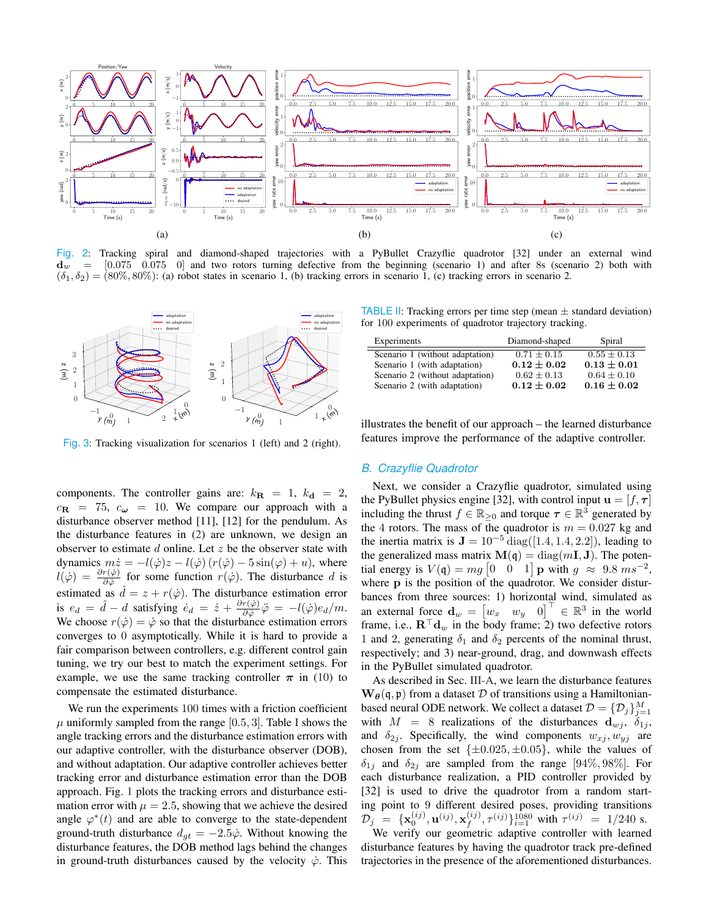

Fig. 2: Tracking spiral and diamond-shaped trajectories with a PyBullet Crazyflie quadrotor [32] under an external wind  $[0.075 \quad 0.075 \quad 0]$  and two rotors turning defective from the beginning (scenario 1) and after 8s (scenario 2) both with  $\mathbf{d}_w$  $(\delta_1, \delta_2) = (80\%, 80\%)$ : (a) robot states in scenario 1, (b) tracking errors in scenario 1, (c) tracking errors in scenario 2.



Fig. 3: Tracking visualization for scenarios 1 (left) and 2 (right).

components. The controller gains are:  $k_{\mathbf{R}} = 1$ ,  $k_{\mathbf{d}} = 2$ ,  $c_{\mathbf{R}} = 75$ ,  $c_{\omega} = 10$ . We compare our approach with a disturbance observer method [11], [12] for the pendulum. As the disturbance features in (2) are unknown, we design an observer to estimate  $d$  online. Let  $z$  be the observer state with dynamics  $m\dot{z} = -l(\dot{\varphi})z - l(\dot{\varphi}) (r(\dot{\varphi}) - 5\sin(\varphi) + u)$ , where  $l(\dot{\varphi}) = \frac{\partial r(\dot{\varphi})}{\partial \dot{\varphi}}$  for some function  $r(\dot{\varphi})$ . The disturbance d is estimated as  $\hat{d} = z + r(\dot{\varphi})$ . The disturbance estimation error<br>is  $e_d = \hat{d} - d$  satisfying  $\dot{e}_d = \dot{z} + \frac{\partial r(\dot{\varphi})}{\partial \dot{\varphi}} \ddot{\varphi} = -l(\dot{\varphi})e_d/m$ . We choose  $r(\dot{\varphi}) = \dot{\varphi}$  so that the disturbance estimation errors converges to 0 asymptotically. While it is hard to provide a fair comparison between controllers, e.g. different control gain tuning, we try our best to match the experiment settings. For example, we use the same tracking controller  $\pi$  in (10) to compensate the estimated disturbance.

We run the experiments 100 times with a friction coefficient  $\mu$  uniformly sampled from the range [0.5, 3]. Table I shows the angle tracking errors and the disturbance estimation errors with our adaptive controller, with the disturbance observer (DOB), and without adaptation. Our adaptive controller achieves better tracking error and disturbance estimation error than the DOB approach. Fig. 1 plots the tracking errors and disturbance estimation error with  $\mu = 2.5$ , showing that we achieve the desired angle  $\varphi^*(t)$  and are able to converge to the state-dependent ground-truth disturbance  $d_{qt} = -2.5\dot{\varphi}$ . Without knowing the disturbance features, the DOB method lags behind the changes in ground-truth disturbances caused by the velocity  $\dot{\varphi}$ . This

**TABLE II:** Tracking errors per time step (mean  $\pm$  standard deviation) for 100 experiments of quadrotor trajectory tracking.

| Experiments                     | Diamond-shaped  | Spiral          |
|---------------------------------|-----------------|-----------------|
| Scenario 1 (without adaptation) | $0.71 + 0.15$   | $0.55 \pm 0.13$ |
| Scenario 1 (with adaptation)    | $0.12 \pm 0.02$ | $0.13 \pm 0.01$ |
| Scenario 2 (without adaptation) | $0.62 + 0.13$   | $0.64 \pm 0.10$ |
| Scenario 2 (with adaptation)    | $0.12 \pm 0.02$ | $0.16 \pm 0.02$ |

illustrates the benefit of our approach – the learned disturbance features improve the performance of the adaptive controller.

#### **B.** Crazyflie Quadrotor

Next, we consider a Crazyflie quadrotor, simulated using the PyBullet physics engine [32], with control input  $\mathbf{u} = [f, \tau]$ including the thrust  $f \in \mathbb{R}_{\geq 0}$  and torque  $\tau \in \mathbb{R}^3$  generated by the 4 rotors. The mass of the quadrotor is  $m = 0.027$  kg and the inertia matrix is  $\mathbf{J} = 10^{-5}$  diag([1.4, 1.4, 2.2]), leading to the generalized mass matrix  $\mathbf{M}(q) = \text{diag}(m\mathbf{I}, \mathbf{J})$ . The potential energy is  $V(q) = mg \begin{bmatrix} 0 & 0 & 1 \end{bmatrix}$  p with  $q \approx 9.8 \text{ m s}^{-2}$ , where p is the position of the quadrotor. We consider disturbances from three sources: 1) horizontal wind, simulated as an external force  $\mathbf{d}_w = \begin{bmatrix} w_x & w_y & 0 \end{bmatrix}^\top \in \mathbb{R}^3$  in the world frame, i.e.,  $\mathbf{R}^\top \mathbf{d}_w$  in the body frame; 2) two defective rotors 1 and 2, generating  $\delta_1$  and  $\delta_2$  percents of the nominal thrust, respectively; and 3) near-ground, drag, and downwash effects in the PyBullet simulated quadrotor.

As described in Sec. III-A, we learn the disturbance features  $\mathbf{W}_{\theta}(\mathbf{\mathfrak{q}}, \mathbf{\mathfrak{p}})$  from a dataset D of transitions using a Hamiltonianbased neural ODE network. We collect a dataset  $\mathcal{D} = {\{\mathcal{D}_j\}}_{i=1}^M$ with  $M = 8$  realizations of the disturbances  $d_{w_i}$ ,  $\delta_{1i}$ , and  $\delta_{2j}$ . Specifically, the wind components  $w_{xj}, w_{yj}$  are chosen from the set  $\{\pm 0.025, \pm 0.05\}$ , while the values of  $\delta_{1i}$  and  $\delta_{2i}$  are sampled from the range [94%, 98%]. For each disturbance realization, a PID controller provided by [32] is used to drive the quadrotor from a random starting point to 9 different desired poses, providing transitions  $\mathcal{D}_j = {\mathbf{x}_{0}^{(ij)}, \mathbf{u}^{(ij)}, \mathbf{x}_{f}^{(ij)}, \tau^{(ij)}\}_{i=1}^{1080}$  with  $\tau^{(ij)} = 1/240$  s.

We verify our geometric adaptive controller with learned disturbance features by having the quadrotor track pre-defined trajectories in the presence of the aforementioned disturbances.